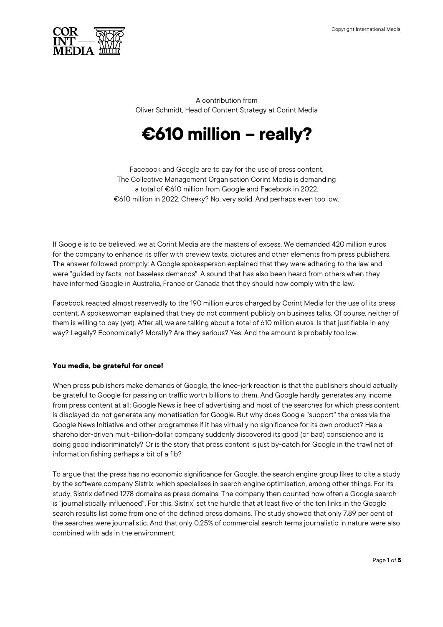

A contribution from Oliver Schmidt, Head of Content Strategy at Corint Media

# **€610 million – really?**

Facebook and Google are to pay for the use of press content. The Collective Management Organisation Corint Media is demanding a total of €610 million from Google and Facebook in 2022. €610 million in 2022. Cheeky? No, very solid. And perhaps even too low.

If Google is to be believed, we at Corint Media are the masters of excess. We demanded 420 million euros for the company to enhance its offer with preview texts, pictures and other elements from press publishers. The answer followed promptly: A Google spokesperson explained that they were adhering to the law and were "guided by facts, not baseless demands". A sound that has also been heard from others when they have informed Google in Australia, France or Canada that they should now comply with the law.

Facebook reacted almost reservedly to the 190 million euros charged by Corint Media for the use of its press content. A spokeswoman explained that they do not comment publicly on business talks. Of course, neither of them is willing to pay (yet). After all, we are talking about a total of 610 million euros. Is that justifiable in any way? Legally? Economically? Morally? Are they serious? Yes. And the amount is probably too low.

# **You media, be grateful for once!**

When press publishers make demands of Google, the knee-jerk reaction is that the publishers should actually be grateful to Google for passing on traffic worth billions to them. And Google hardly generates any income from press content at all: Google News is free of advertising and most of the searches for which press content is displayed do not generate any monetisation for Google. But why does Google "support" the press via the Google News Initiative and other programmes if it has virtually no significance for its own product? Has a shareholder-driven multi-billion-dollar company suddenly discovered its good (or bad) conscience and is doing good indiscriminately? Or is the story that press content is just by-catch for Google in the trawl net of information fishing perhaps a bit of a fib?

To argue that the press has no economic significance for Google, the search engine group likes to cite a study by the software company Sistrix, which specialises in search engine optimisation, among other things. For its study, Sistrix defined 1278 domains as press domains. The company then counted how often a Google search is "journalistically influenced". For this, Sistrix<sup>1</sup> set the hurdle that at least five of the ten links in the Google search results list come from one of the defined press domains. The study showed that only 7.89 per cent of the searches were journalistic. And that only 0.25% of commercial search terms journalistic in nature were also combined with ads in the environment.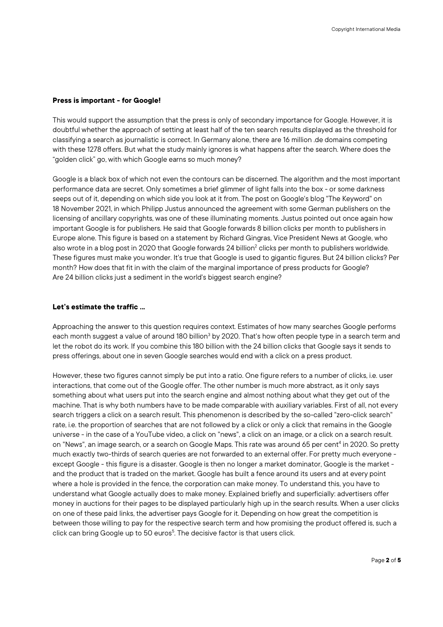### **Press is important - for Google!**

This would support the assumption that the press is only of secondary importance for Google. However, it is doubtful whether the approach of setting at least half of the ten search results displayed as the threshold for classifying a search as journalistic is correct. In Germany alone, there are 16 million .de domains competing with these 1278 offers. But what the study mainly ignores is what happens after the search. Where does the "golden click" go, with which Google earns so much money?

Google is a black box of which not even the contours can be discerned. The algorithm and the most important performance data are secret. Only sometimes a brief glimmer of light falls into the box - or some darkness seeps out of it, depending on which side you look at it from. The post on Google's blog "The Keyword" on 18 November 2021, in which Philipp Justus announced the agreement with some German publishers on the licensing of ancillary copyrights, was one of these illuminating moments. Justus pointed out once again how important Google is for publishers. He said that Google forwards 8 billion clicks per month to publishers in Europe alone. This figure is based on a statement by Richard Gingras, Vice President News at Google, who also wrote in a blog post in 2020 that Google forwards 24 billion<sup>2</sup> clicks per month to publishers worldwide. These figures must make you wonder. It's true that Google is used to gigantic figures. But 24 billion clicks? Per month? How does that fit in with the claim of the marginal importance of press products for Google? Are 24 billion clicks just a sediment in the world's biggest search engine?

#### **Let's estimate the traffic ...**

Approaching the answer to this question requires context. Estimates of how many searches Google performs each month suggest a value of around 180 billion<sup>3</sup> by 2020. That's how often people type in a search term and let the robot do its work. If you combine this 180 billion with the 24 billion clicks that Google says it sends to press offerings, about one in seven Google searches would end with a click on a press product.

However, these two figures cannot simply be put into a ratio. One figure refers to a number of clicks, i.e. user interactions, that come out of the Google offer. The other number is much more abstract, as it only says something about what users put into the search engine and almost nothing about what they get out of the machine. That is why both numbers have to be made comparable with auxiliary variables. First of all, not every search triggers a click on a search result. This phenomenon is described by the so-called "zero-click search" rate, i.e. the proportion of searches that are not followed by a click or only a click that remains in the Google universe - in the case of a YouTube video, a click on "news", a click on an image, or a click on a search result. on "News", an image search, or a search on Google Maps. This rate was around 65 per cent4 in 2020. So pretty much exactly two-thirds of search queries are not forwarded to an external offer. For pretty much everyone except Google - this figure is a disaster. Google is then no longer a market dominator, Google is the market and the product that is traded on the market. Google has built a fence around its users and at every point where a hole is provided in the fence, the corporation can make money. To understand this, you have to understand what Google actually does to make money. Explained briefly and superficially: advertisers offer money in auctions for their pages to be displayed particularly high up in the search results. When a user clicks on one of these paid links, the advertiser pays Google for it. Depending on how great the competition is between those willing to pay for the respective search term and how promising the product offered is, such a click can bring Google up to 50 euros<sup>5</sup>. The decisive factor is that users click.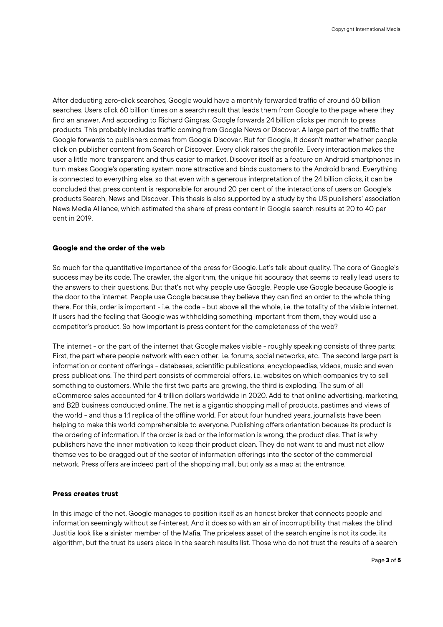After deducting zero-click searches, Google would have a monthly forwarded traffic of around 60 billion searches. Users click 60 billion times on a search result that leads them from Google to the page where they find an answer. And according to Richard Gingras, Google forwards 24 billion clicks per month to press products. This probably includes traffic coming from Google News or Discover. A large part of the traffic that Google forwards to publishers comes from Google Discover. But for Google, it doesn't matter whether people click on publisher content from Search or Discover. Every click raises the profile. Every interaction makes the user a little more transparent and thus easier to market. Discover itself as a feature on Android smartphones in turn makes Google's operating system more attractive and binds customers to the Android brand. Everything is connected to everything else, so that even with a generous interpretation of the 24 billion clicks, it can be concluded that press content is responsible for around 20 per cent of the interactions of users on Google's products Search, News and Discover. This thesis is also supported by a study by the US publishers' association News Media Alliance, which estimated the share of press content in Google search results at 20 to 40 per cent in 2019.

#### **Google and the order of the web**

So much for the quantitative importance of the press for Google. Let's talk about quality. The core of Google's success may be its code. The crawler, the algorithm, the unique hit accuracy that seems to really lead users to the answers to their questions. But that's not why people use Google. People use Google because Google is the door to the internet. People use Google because they believe they can find an order to the whole thing there. For this, order is important - i.e. the code - but above all the whole, i.e. the totality of the visible internet. If users had the feeling that Google was withholding something important from them, they would use a competitor's product. So how important is press content for the completeness of the web?

The internet - or the part of the internet that Google makes visible - roughly speaking consists of three parts: First, the part where people network with each other, i.e. forums, social networks, etc.. The second large part is information or content offerings - databases, scientific publications, encyclopaedias, videos, music and even press publications. The third part consists of commercial offers, i.e. websites on which companies try to sell something to customers. While the first two parts are growing, the third is exploding. The sum of all eCommerce sales accounted for 4 trillion dollars worldwide in 2020. Add to that online advertising, marketing, and B2B business conducted online. The net is a gigantic shopping mall of products, pastimes and views of the world - and thus a 1:1 replica of the offline world. For about four hundred years, journalists have been helping to make this world comprehensible to everyone. Publishing offers orientation because its product is the ordering of information. If the order is bad or the information is wrong, the product dies. That is why publishers have the inner motivation to keep their product clean. They do not want to and must not allow themselves to be dragged out of the sector of information offerings into the sector of the commercial network. Press offers are indeed part of the shopping mall, but only as a map at the entrance.

#### **Press creates trust**

In this image of the net, Google manages to position itself as an honest broker that connects people and information seemingly without self-interest. And it does so with an air of incorruptibility that makes the blind Justitia look like a sinister member of the Mafia. The priceless asset of the search engine is not its code, its algorithm, but the trust its users place in the search results list. Those who do not trust the results of a search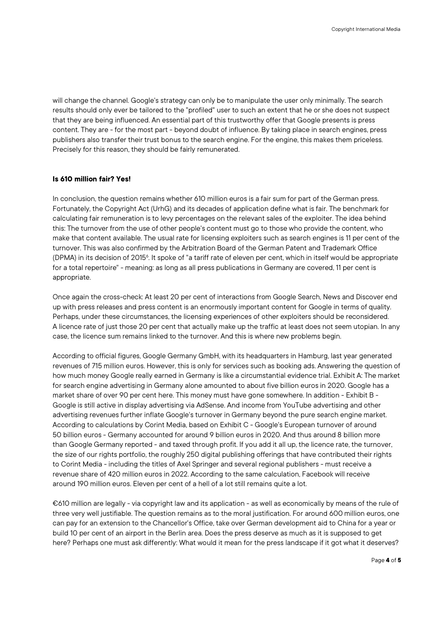will change the channel. Google's strategy can only be to manipulate the user only minimally. The search results should only ever be tailored to the "profiled" user to such an extent that he or she does not suspect that they are being influenced. An essential part of this trustworthy offer that Google presents is press content. They are - for the most part - beyond doubt of influence. By taking place in search engines, press publishers also transfer their trust bonus to the search engine. For the engine, this makes them priceless. Precisely for this reason, they should be fairly remunerated.

## **Is 610 million fair? Yes!**

In conclusion, the question remains whether 610 million euros is a fair sum for part of the German press. Fortunately, the Copyright Act (UrhG) and its decades of application define what is fair. The benchmark for calculating fair remuneration is to levy percentages on the relevant sales of the exploiter. The idea behind this: The turnover from the use of other people's content must go to those who provide the content, who make that content available. The usual rate for licensing exploiters such as search engines is 11 per cent of the turnover. This was also confirmed by the Arbitration Board of the German Patent and Trademark Office (DPMA) in its decision of 2015<sup>6</sup>. It spoke of "a tariff rate of eleven per cent, which in itself would be appropriate for a total repertoire" - meaning: as long as all press publications in Germany are covered, 11 per cent is appropriate.

Once again the cross-check: At least 20 per cent of interactions from Google Search, News and Discover end up with press releases and press content is an enormously important content for Google in terms of quality. Perhaps, under these circumstances, the licensing experiences of other exploiters should be reconsidered. A licence rate of just those 20 per cent that actually make up the traffic at least does not seem utopian. In any case, the licence sum remains linked to the turnover. And this is where new problems begin.

According to official figures, Google Germany GmbH, with its headquarters in Hamburg, last year generated revenues of 715 million euros. However, this is only for services such as booking ads. Answering the question of how much money Google really earned in Germany is like a circumstantial evidence trial. Exhibit A: The market for search engine advertising in Germany alone amounted to about five billion euros in 2020. Google has a market share of over 90 per cent here. This money must have gone somewhere. In addition - Exhibit B - Google is still active in display advertising via AdSense. And income from YouTube advertising and other advertising revenues further inflate Google's turnover in Germany beyond the pure search engine market. According to calculations by Corint Media, based on Exhibit C - Google's European turnover of around 50 billion euros - Germany accounted for around 9 billion euros in 2020. And thus around 8 billion more than Google Germany reported - and taxed through profit. If you add it all up, the licence rate, the turnover, the size of our rights portfolio, the roughly 250 digital publishing offerings that have contributed their rights to Corint Media - including the titles of Axel Springer and several regional publishers - must receive a revenue share of 420 million euros in 2022. According to the same calculation, Facebook will receive around 190 million euros. Eleven per cent of a hell of a lot still remains quite a lot.

€610 million are legally - via copyright law and its application - as well as economically by means of the rule of three very well justifiable. The question remains as to the moral justification. For around 600 million euros, one can pay for an extension to the Chancellor's Office, take over German development aid to China for a year or build 10 per cent of an airport in the Berlin area. Does the press deserve as much as it is supposed to get here? Perhaps one must ask differently: What would it mean for the press landscape if it got what it deserves?